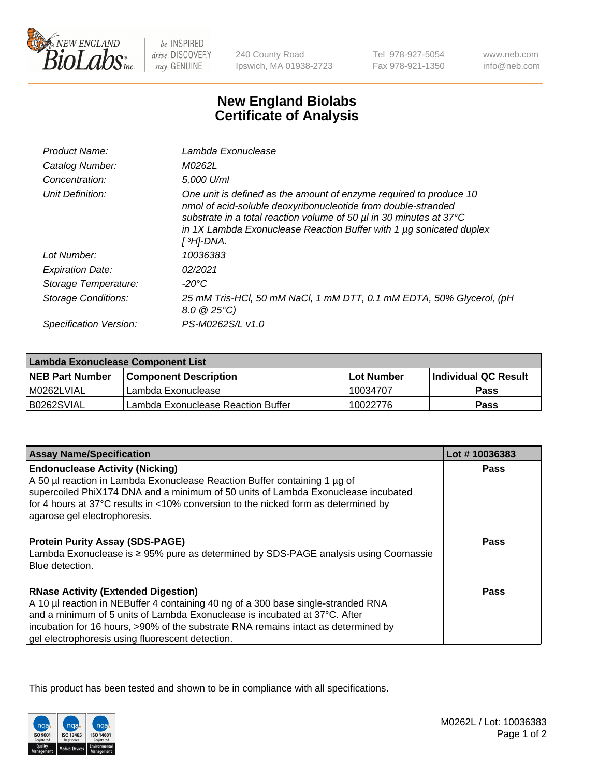

 $be$  INSPIRED drive DISCOVERY stay GENUINE

240 County Road Ipswich, MA 01938-2723

Tel 978-927-5054 Fax 978-921-1350 www.neb.com info@neb.com

## **New England Biolabs Certificate of Analysis**

| Product Name:              | Lambda Exonuclease                                                                                                                                                                                                                                                                                   |
|----------------------------|------------------------------------------------------------------------------------------------------------------------------------------------------------------------------------------------------------------------------------------------------------------------------------------------------|
| Catalog Number:            | M0262L                                                                                                                                                                                                                                                                                               |
| Concentration:             | 5.000 U/ml                                                                                                                                                                                                                                                                                           |
| Unit Definition:           | One unit is defined as the amount of enzyme required to produce 10<br>nmol of acid-soluble deoxyribonucleotide from double-stranded<br>substrate in a total reaction volume of 50 µl in 30 minutes at 37°C<br>in 1X Lambda Exonuclease Reaction Buffer with 1 $\mu$ g sonicated duplex<br>[ 3H]-DNA. |
| Lot Number:                | 10036383                                                                                                                                                                                                                                                                                             |
| <b>Expiration Date:</b>    | 02/2021                                                                                                                                                                                                                                                                                              |
| Storage Temperature:       | $-20^{\circ}$ C                                                                                                                                                                                                                                                                                      |
| <b>Storage Conditions:</b> | 25 mM Tris-HCl, 50 mM NaCl, 1 mM DTT, 0.1 mM EDTA, 50% Glycerol, (pH<br>$8.0 \ @ 25^{\circ}C$                                                                                                                                                                                                        |
| Specification Version:     | PS-M0262S/L v1.0                                                                                                                                                                                                                                                                                     |

| Lambda Exonuclease Component List |                                    |                   |                             |  |
|-----------------------------------|------------------------------------|-------------------|-----------------------------|--|
| <b>NEB Part Number</b>            | <b>Component Description</b>       | <b>Lot Number</b> | <b>Individual QC Result</b> |  |
| IM0262LVIAL                       | Lambda Exonuclease                 | 10034707          | <b>Pass</b>                 |  |
| IB0262SVIAL                       | Lambda Exonuclease Reaction Buffer | 10022776          | Pass                        |  |

| <b>Assay Name/Specification</b>                                                     | Lot #10036383 |
|-------------------------------------------------------------------------------------|---------------|
| <b>Endonuclease Activity (Nicking)</b>                                              | <b>Pass</b>   |
| A 50 µl reaction in Lambda Exonuclease Reaction Buffer containing 1 µg of           |               |
| supercoiled PhiX174 DNA and a minimum of 50 units of Lambda Exonuclease incubated   |               |
| for 4 hours at 37°C results in <10% conversion to the nicked form as determined by  |               |
| agarose gel electrophoresis.                                                        |               |
|                                                                                     |               |
| <b>Protein Purity Assay (SDS-PAGE)</b>                                              | <b>Pass</b>   |
| Lambda Exonuclease is ≥ 95% pure as determined by SDS-PAGE analysis using Coomassie |               |
| Blue detection.                                                                     |               |
| <b>RNase Activity (Extended Digestion)</b>                                          | Pass          |
| A 10 µl reaction in NEBuffer 4 containing 40 ng of a 300 base single-stranded RNA   |               |
| and a minimum of 5 units of Lambda Exonuclease is incubated at 37°C. After          |               |
| incubation for 16 hours, >90% of the substrate RNA remains intact as determined by  |               |
| gel electrophoresis using fluorescent detection.                                    |               |

This product has been tested and shown to be in compliance with all specifications.